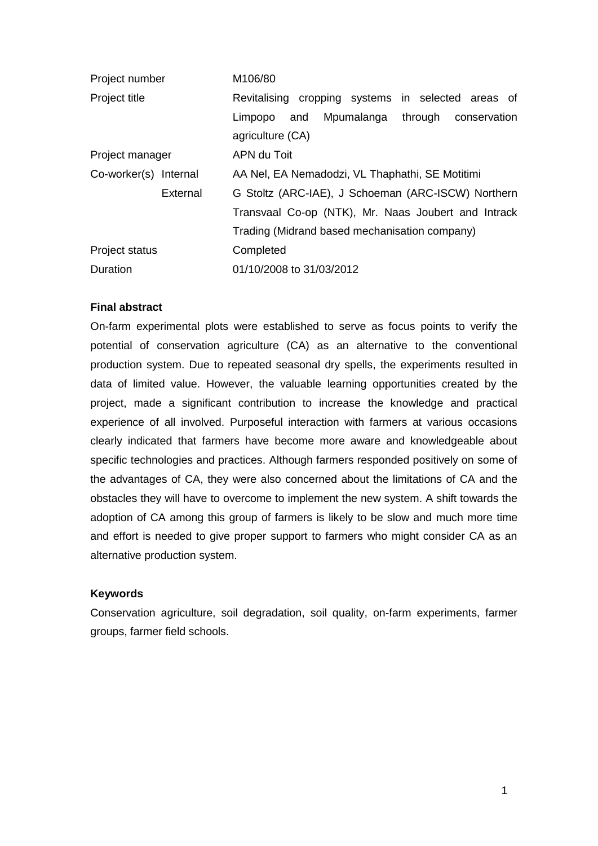| Project number                       |          | M106/80                                             |     |  |                                 |  |  |  |  |
|--------------------------------------|----------|-----------------------------------------------------|-----|--|---------------------------------|--|--|--|--|
| Project title                        |          | Revitalising cropping systems in selected areas of  |     |  |                                 |  |  |  |  |
|                                      |          | Limpopo                                             | and |  | Mpumalanga through conservation |  |  |  |  |
|                                      |          | agriculture (CA)                                    |     |  |                                 |  |  |  |  |
| Project manager                      |          | APN du Toit                                         |     |  |                                 |  |  |  |  |
| Co-worker(s) Internal                |          | AA Nel, EA Nemadodzi, VL Thaphathi, SE Motitimi     |     |  |                                 |  |  |  |  |
|                                      | External | G Stoltz (ARC-IAE), J Schoeman (ARC-ISCW) Northern  |     |  |                                 |  |  |  |  |
|                                      |          | Transvaal Co-op (NTK), Mr. Naas Joubert and Intrack |     |  |                                 |  |  |  |  |
|                                      |          | Trading (Midrand based mechanisation company)       |     |  |                                 |  |  |  |  |
| <b>Project status</b>                |          | Completed                                           |     |  |                                 |  |  |  |  |
| 01/10/2008 to 31/03/2012<br>Duration |          |                                                     |     |  |                                 |  |  |  |  |

### **Final abstract**

On-farm experimental plots were established to serve as focus points to verify the potential of conservation agriculture (CA) as an alternative to the conventional production system. Due to repeated seasonal dry spells, the experiments resulted in data of limited value. However, the valuable learning opportunities created by the project, made a significant contribution to increase the knowledge and practical experience of all involved. Purposeful interaction with farmers at various occasions clearly indicated that farmers have become more aware and knowledgeable about specific technologies and practices. Although farmers responded positively on some of the advantages of CA, they were also concerned about the limitations of CA and the obstacles they will have to overcome to implement the new system. A shift towards the adoption of CA among this group of farmers is likely to be slow and much more time and effort is needed to give proper support to farmers who might consider CA as an alternative production system.

## **Keywords**

Conservation agriculture, soil degradation, soil quality, on-farm experiments, farmer groups, farmer field schools.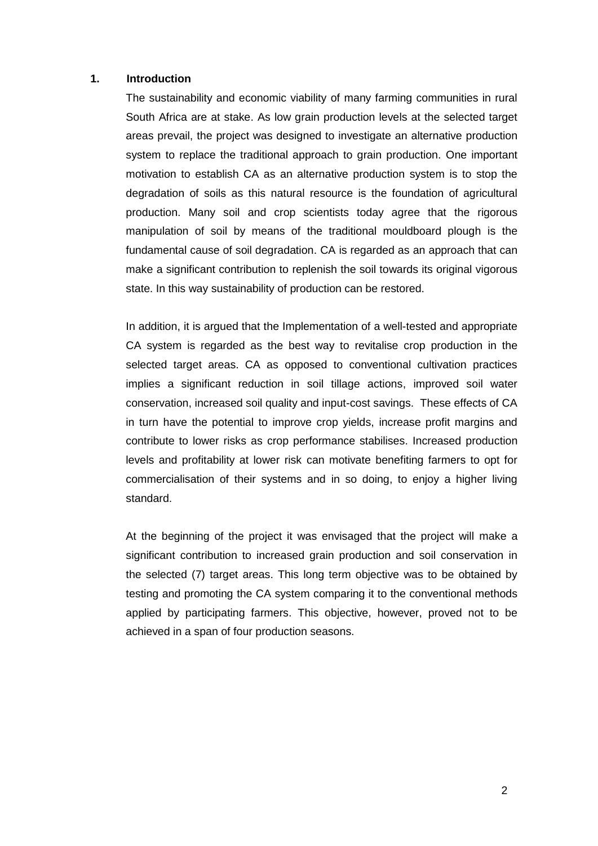#### **1. Introduction**

The sustainability and economic viability of many farming communities in rural South Africa are at stake. As low grain production levels at the selected target areas prevail, the project was designed to investigate an alternative production system to replace the traditional approach to grain production. One important motivation to establish CA as an alternative production system is to stop the degradation of soils as this natural resource is the foundation of agricultural production. Many soil and crop scientists today agree that the rigorous manipulation of soil by means of the traditional mouldboard plough is the fundamental cause of soil degradation. CA is regarded as an approach that can make a significant contribution to replenish the soil towards its original vigorous state. In this way sustainability of production can be restored.

In addition, it is argued that the Implementation of a well-tested and appropriate CA system is regarded as the best way to revitalise crop production in the selected target areas. CA as opposed to conventional cultivation practices implies a significant reduction in soil tillage actions, improved soil water conservation, increased soil quality and input-cost savings. These effects of CA in turn have the potential to improve crop yields, increase profit margins and contribute to lower risks as crop performance stabilises. Increased production levels and profitability at lower risk can motivate benefiting farmers to opt for commercialisation of their systems and in so doing, to enjoy a higher living standard.

At the beginning of the project it was envisaged that the project will make a significant contribution to increased grain production and soil conservation in the selected (7) target areas. This long term objective was to be obtained by testing and promoting the CA system comparing it to the conventional methods applied by participating farmers. This objective, however, proved not to be achieved in a span of four production seasons.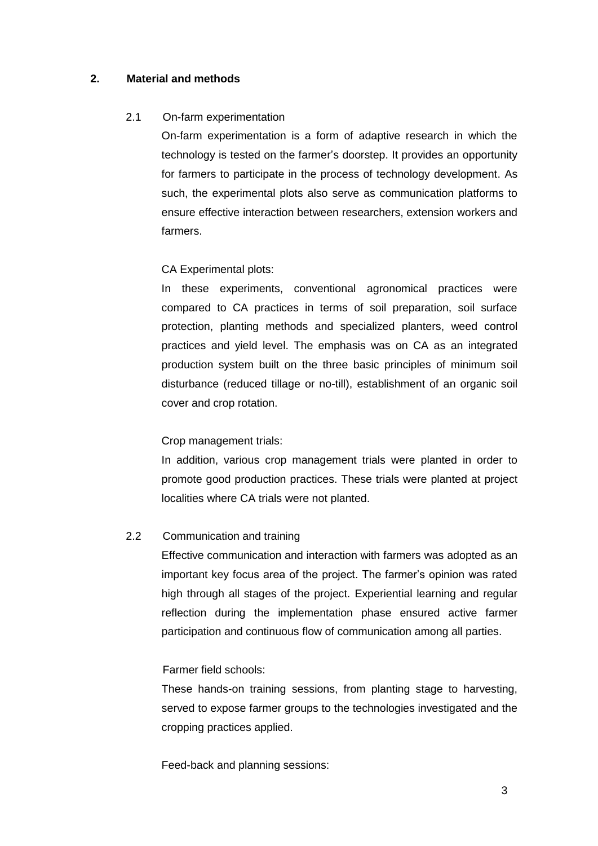# **2. Material and methods**

## 2.1 On-farm experimentation

On-farm experimentation is a form of adaptive research in which the technology is tested on the farmer's doorstep. It provides an opportunity for farmers to participate in the process of technology development. As such, the experimental plots also serve as communication platforms to ensure effective interaction between researchers, extension workers and farmers.

# CA Experimental plots:

In these experiments, conventional agronomical practices were compared to CA practices in terms of soil preparation, soil surface protection, planting methods and specialized planters, weed control practices and yield level. The emphasis was on CA as an integrated production system built on the three basic principles of minimum soil disturbance (reduced tillage or no-till), establishment of an organic soil cover and crop rotation.

## Crop management trials:

In addition, various crop management trials were planted in order to promote good production practices. These trials were planted at project localities where CA trials were not planted.

## 2.2 Communication and training

Effective communication and interaction with farmers was adopted as an important key focus area of the project. The farmer's opinion was rated high through all stages of the project. Experiential learning and regular reflection during the implementation phase ensured active farmer participation and continuous flow of communication among all parties.

## Farmer field schools:

These hands-on training sessions, from planting stage to harvesting, served to expose farmer groups to the technologies investigated and the cropping practices applied.

Feed-back and planning sessions: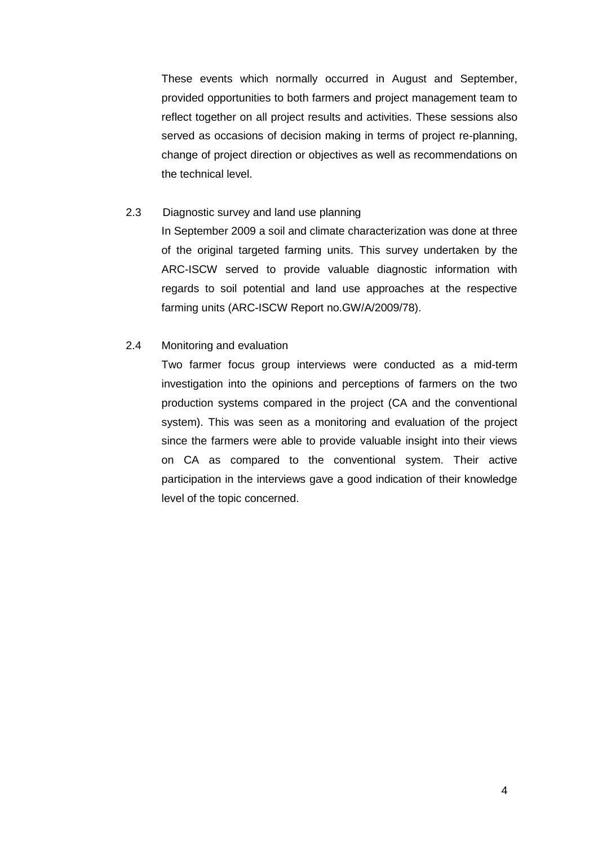These events which normally occurred in August and September, provided opportunities to both farmers and project management team to reflect together on all project results and activities. These sessions also served as occasions of decision making in terms of project re-planning, change of project direction or objectives as well as recommendations on the technical level.

### 2.3 Diagnostic survey and land use planning

In September 2009 a soil and climate characterization was done at three of the original targeted farming units. This survey undertaken by the ARC-ISCW served to provide valuable diagnostic information with regards to soil potential and land use approaches at the respective farming units (ARC-ISCW Report no.GW/A/2009/78).

### 2.4 Monitoring and evaluation

Two farmer focus group interviews were conducted as a mid-term investigation into the opinions and perceptions of farmers on the two production systems compared in the project (CA and the conventional system). This was seen as a monitoring and evaluation of the project since the farmers were able to provide valuable insight into their views on CA as compared to the conventional system. Their active participation in the interviews gave a good indication of their knowledge level of the topic concerned.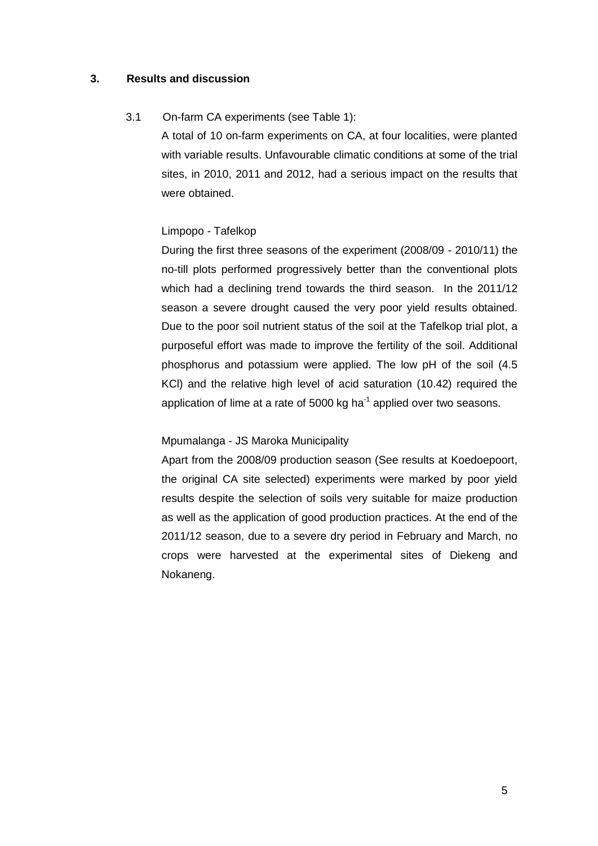## **3. Results and discussion**

## 3.1 On-farm CA experiments (see Table 1):

A total of 10 on-farm experiments on CA, at four localities, were planted with variable results. Unfavourable climatic conditions at some of the trial sites, in 2010, 2011 and 2012, had a serious impact on the results that were obtained.

#### Limpopo - Tafelkop

During the first three seasons of the experiment (2008/09 - 2010/11) the no-till plots performed progressively better than the conventional plots which had a declining trend towards the third season. In the 2011/12 season a severe drought caused the very poor yield results obtained. Due to the poor soil nutrient status of the soil at the Tafelkop trial plot, a purposeful effort was made to improve the fertility of the soil. Additional phosphorus and potassium were applied. The low pH of the soil (4.5 KCl) and the relative high level of acid saturation (10.42) required the application of lime at a rate of 5000 kg ha $^{-1}$  applied over two seasons.

#### Mpumalanga - JS Maroka Municipality

Apart from the 2008/09 production season (See results at Koedoepoort, the original CA site selected) experiments were marked by poor yield results despite the selection of soils very suitable for maize production as well as the application of good production practices. At the end of the 2011/12 season, due to a severe dry period in February and March, no crops were harvested at the experimental sites of Diekeng and Nokaneng.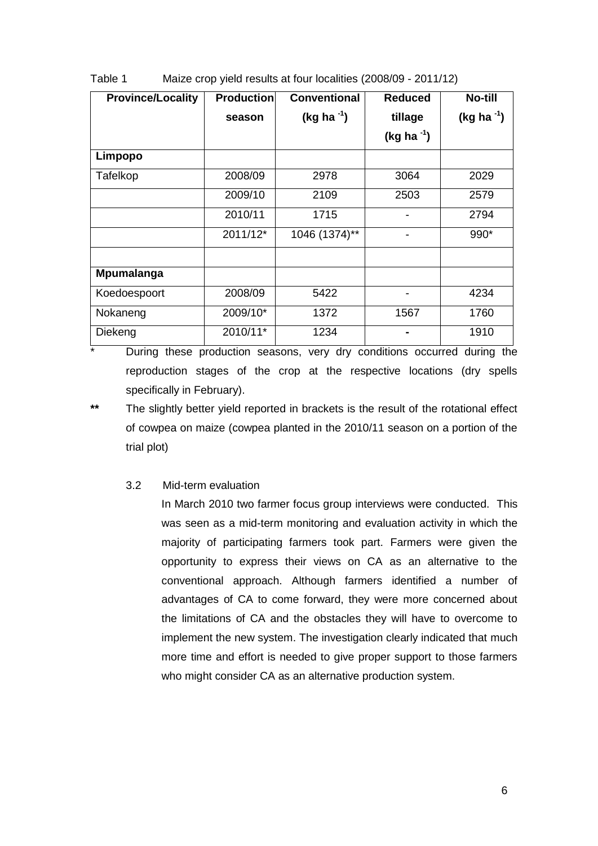| <b>Province/Locality</b> | <b>Production</b> | <b>Conventional</b> | <b>Reduced</b>   | <b>No-till</b>   |
|--------------------------|-------------------|---------------------|------------------|------------------|
|                          | season            | (kg ha $^{-1}$ )    | tillage          | (kg ha $^{-1}$ ) |
|                          |                   |                     | (kg ha $^{-1}$ ) |                  |
| Limpopo                  |                   |                     |                  |                  |
| Tafelkop                 | 2008/09           | 2978                | 3064             | 2029             |
|                          | 2009/10           | 2109                | 2503             | 2579             |
|                          | 2010/11           | 1715                |                  | 2794             |
|                          | 2011/12*          | 1046 (1374)**       | -                | 990*             |
|                          |                   |                     |                  |                  |
| Mpumalanga               |                   |                     |                  |                  |
| Koedoespoort             | 2008/09           | 5422                |                  | 4234             |
| Nokaneng                 | 2009/10*          | 1372                | 1567             | 1760             |
| Diekeng                  | 2010/11*          | 1234                |                  | 1910             |

Table 1 Maize crop yield results at four localities (2008/09 - 2011/12)

\* During these production seasons, very dry conditions occurred during the reproduction stages of the crop at the respective locations (dry spells specifically in February).

**\*\*** The slightly better yield reported in brackets is the result of the rotational effect of cowpea on maize (cowpea planted in the 2010/11 season on a portion of the trial plot)

## 3.2 Mid-term evaluation

In March 2010 two farmer focus group interviews were conducted. This was seen as a mid-term monitoring and evaluation activity in which the majority of participating farmers took part. Farmers were given the opportunity to express their views on CA as an alternative to the conventional approach. Although farmers identified a number of advantages of CA to come forward, they were more concerned about the limitations of CA and the obstacles they will have to overcome to implement the new system. The investigation clearly indicated that much more time and effort is needed to give proper support to those farmers who might consider CA as an alternative production system.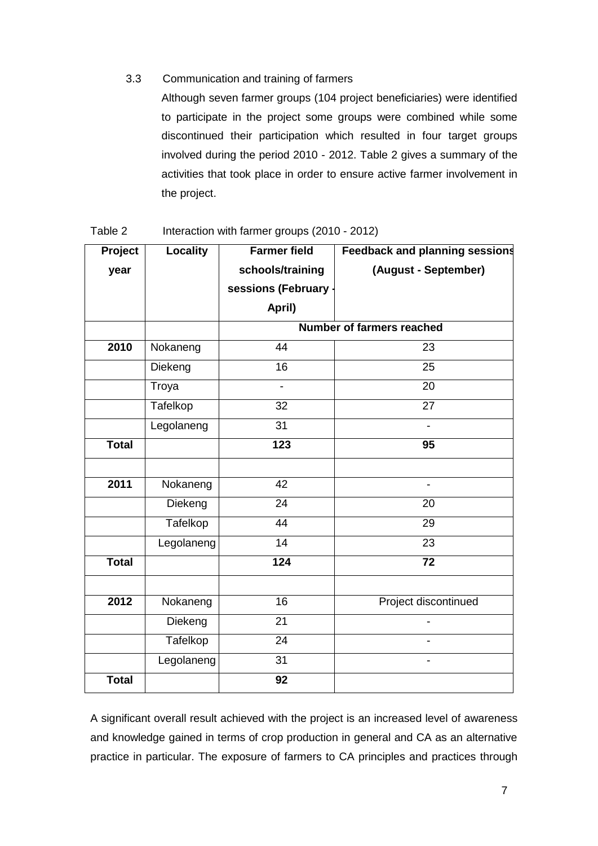## 3.3 Communication and training of farmers

Although seven farmer groups (104 project beneficiaries) were identified to participate in the project some groups were combined while some discontinued their participation which resulted in four target groups involved during the period 2010 - 2012. Table 2 gives a summary of the activities that took place in order to ensure active farmer involvement in the project.

| Project      | <b>Locality</b> | <b>Farmer field</b>              | <b>Feedback and planning sessions</b> |  |  |
|--------------|-----------------|----------------------------------|---------------------------------------|--|--|
| year         |                 | schools/training                 | (August - September)                  |  |  |
|              |                 | sessions (February               |                                       |  |  |
|              |                 | April)                           |                                       |  |  |
|              |                 | <b>Number of farmers reached</b> |                                       |  |  |
| 2010         | Nokaneng        | 44                               | 23                                    |  |  |
|              | Diekeng         | 16                               | 25                                    |  |  |
|              | Troya           | $\blacksquare$                   | 20                                    |  |  |
|              | Tafelkop        | 32                               | 27                                    |  |  |
|              | Legolaneng      | 31                               | $\overline{\phantom{a}}$              |  |  |
| <b>Total</b> |                 | 123                              | $\overline{95}$                       |  |  |
|              |                 |                                  |                                       |  |  |
| 2011         | Nokaneng        | 42                               | $\blacksquare$                        |  |  |
|              | Diekeng         | 24                               | 20                                    |  |  |
|              | Tafelkop        | 44                               | 29                                    |  |  |
|              | Legolaneng      | 14                               | 23                                    |  |  |
| <b>Total</b> |                 | 124                              | 72                                    |  |  |
|              |                 |                                  |                                       |  |  |
| 2012         | Nokaneng        | 16                               | Project discontinued                  |  |  |
|              | Diekeng         | 21                               |                                       |  |  |
|              | Tafelkop        | 24                               | $\overline{\phantom{0}}$              |  |  |
|              | Legolaneng      | 31                               | $\overline{\phantom{a}}$              |  |  |
| <b>Total</b> |                 | 92                               |                                       |  |  |

Table 2 Interaction with farmer groups (2010 - 2012)

A significant overall result achieved with the project is an increased level of awareness and knowledge gained in terms of crop production in general and CA as an alternative practice in particular. The exposure of farmers to CA principles and practices through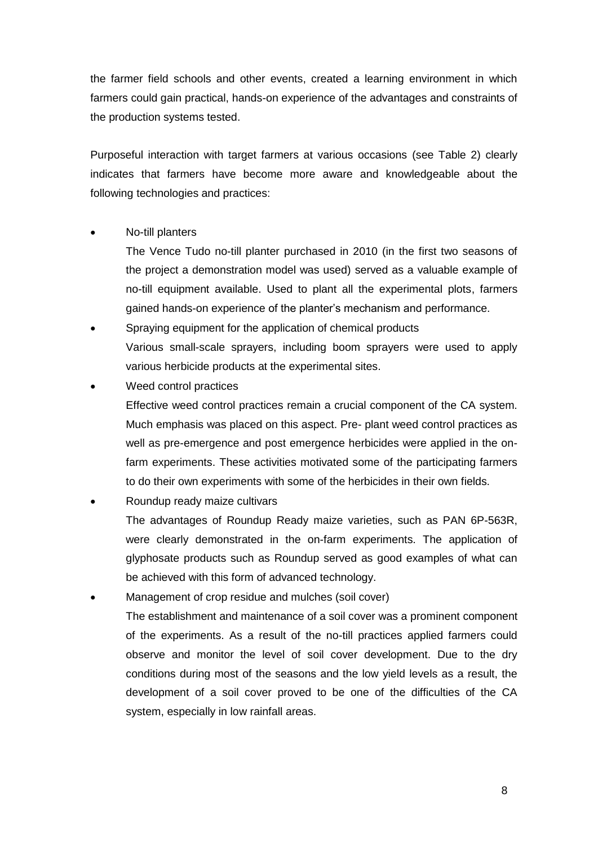the farmer field schools and other events, created a learning environment in which farmers could gain practical, hands-on experience of the advantages and constraints of the production systems tested.

Purposeful interaction with target farmers at various occasions (see Table 2) clearly indicates that farmers have become more aware and knowledgeable about the following technologies and practices:

# No-till planters

The Vence Tudo no-till planter purchased in 2010 (in the first two seasons of the project a demonstration model was used) served as a valuable example of no-till equipment available. Used to plant all the experimental plots, farmers gained hands-on experience of the planter's mechanism and performance.

- Spraying equipment for the application of chemical products Various small-scale sprayers, including boom sprayers were used to apply various herbicide products at the experimental sites.
- Weed control practices

Effective weed control practices remain a crucial component of the CA system. Much emphasis was placed on this aspect. Pre- plant weed control practices as well as pre-emergence and post emergence herbicides were applied in the onfarm experiments. These activities motivated some of the participating farmers to do their own experiments with some of the herbicides in their own fields.

Roundup ready maize cultivars

The advantages of Roundup Ready maize varieties, such as PAN 6P-563R, were clearly demonstrated in the on-farm experiments. The application of glyphosate products such as Roundup served as good examples of what can be achieved with this form of advanced technology.

 Management of crop residue and mulches (soil cover) The establishment and maintenance of a soil cover was a prominent component of the experiments. As a result of the no-till practices applied farmers could observe and monitor the level of soil cover development. Due to the dry conditions during most of the seasons and the low yield levels as a result, the development of a soil cover proved to be one of the difficulties of the CA system, especially in low rainfall areas.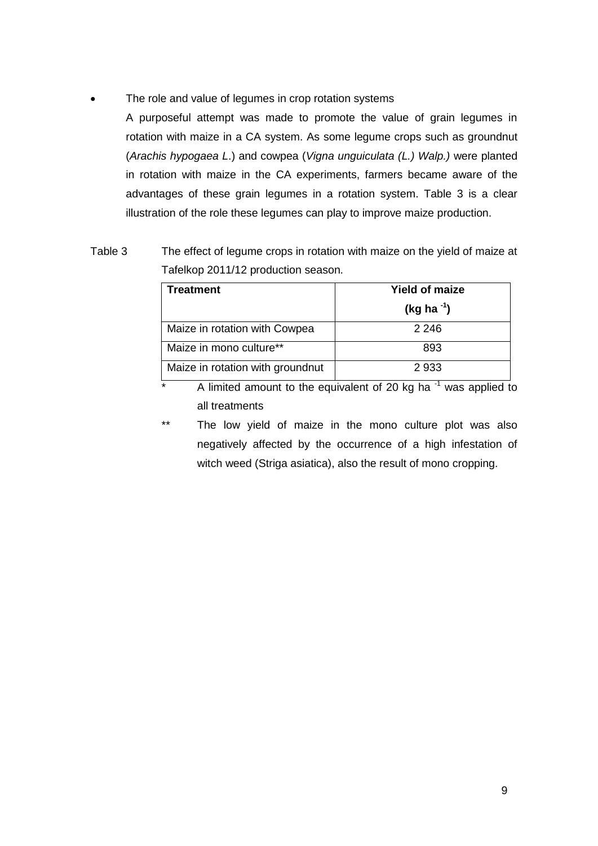The role and value of legumes in crop rotation systems

A purposeful attempt was made to promote the value of grain legumes in rotation with maize in a CA system. As some legume crops such as groundnut (*Arachis hypogaea L*.) and cowpea (*Vigna unguiculata (L.) Walp.)* were planted in rotation with maize in the CA experiments, farmers became aware of the advantages of these grain legumes in a rotation system. Table 3 is a clear illustration of the role these legumes can play to improve maize production.

# Table 3 The effect of legume crops in rotation with maize on the yield of maize at Tafelkop 2011/12 production season.

| Treatment                        | <b>Yield of maize</b> |  |  |  |
|----------------------------------|-----------------------|--|--|--|
|                                  | (kg ha $^{-1}$ )      |  |  |  |
| Maize in rotation with Cowpea    | 2 2 4 6               |  |  |  |
| Maize in mono culture**          | 893                   |  |  |  |
| Maize in rotation with groundnut | 2933                  |  |  |  |

 $*$  A limited amount to the equivalent of 20 kg ha $^{-1}$  was applied to all treatments

\*\* The low yield of maize in the mono culture plot was also negatively affected by the occurrence of a high infestation of witch weed (Striga asiatica), also the result of mono cropping.